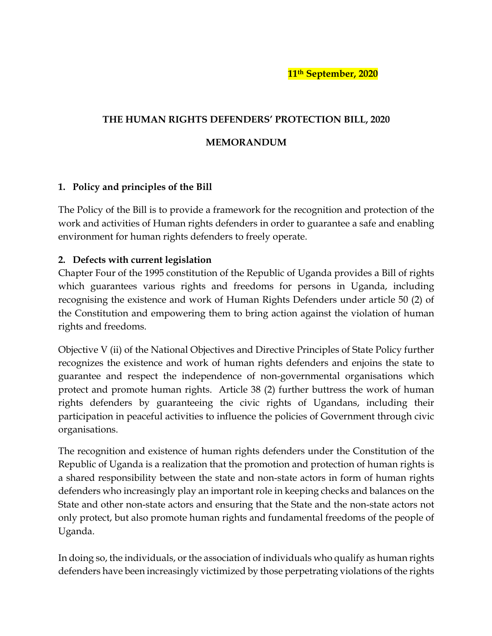**11th September, 2020**

## **THE HUMAN RIGHTS DEFENDERS' PROTECTION BILL, 2020**

## **MEMORANDUM**

## **1. Policy and principles of the Bill**

The Policy of the Bill is to provide a framework for the recognition and protection of the work and activities of Human rights defenders in order to guarantee a safe and enabling environment for human rights defenders to freely operate.

## **2. Defects with current legislation**

Chapter Four of the 1995 constitution of the Republic of Uganda provides a Bill of rights which guarantees various rights and freedoms for persons in Uganda, including recognising the existence and work of Human Rights Defenders under article 50 (2) of the Constitution and empowering them to bring action against the violation of human rights and freedoms.

Objective V (ii) of the National Objectives and Directive Principles of State Policy further recognizes the existence and work of human rights defenders and enjoins the state to guarantee and respect the independence of non-governmental organisations which protect and promote human rights. Article 38 (2) further buttress the work of human rights defenders by guaranteeing the civic rights of Ugandans, including their participation in peaceful activities to influence the policies of Government through civic organisations.

The recognition and existence of human rights defenders under the Constitution of the Republic of Uganda is a realization that the promotion and protection of human rights is a shared responsibility between the state and non-state actors in form of human rights defenders who increasingly play an important role in keeping checks and balances on the State and other non-state actors and ensuring that the State and the non-state actors not only protect, but also promote human rights and fundamental freedoms of the people of Uganda.

In doing so, the individuals, or the association of individuals who qualify as human rights defenders have been increasingly victimized by those perpetrating violations of the rights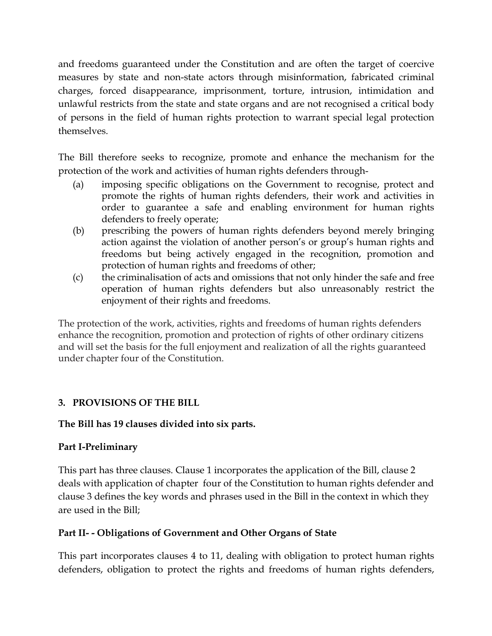and freedoms guaranteed under the Constitution and are often the target of coercive measures by state and non-state actors through misinformation, fabricated criminal charges, forced disappearance, imprisonment, torture, intrusion, intimidation and unlawful restricts from the state and state organs and are not recognised a critical body of persons in the field of human rights protection to warrant special legal protection themselves.

The Bill therefore seeks to recognize, promote and enhance the mechanism for the protection of the work and activities of human rights defenders through-

- (a) imposing specific obligations on the Government to recognise, protect and promote the rights of human rights defenders, their work and activities in order to guarantee a safe and enabling environment for human rights defenders to freely operate;
- (b) prescribing the powers of human rights defenders beyond merely bringing action against the violation of another person's or group's human rights and freedoms but being actively engaged in the recognition, promotion and protection of human rights and freedoms of other;
- (c) the criminalisation of acts and omissions that not only hinder the safe and free operation of human rights defenders but also unreasonably restrict the enjoyment of their rights and freedoms.

The protection of the work, activities, rights and freedoms of human rights defenders enhance the recognition, promotion and protection of rights of other ordinary citizens and will set the basis for the full enjoyment and realization of all the rights guaranteed under chapter four of the Constitution.

# **3. PROVISIONS OF THE BILL**

# **The Bill has 19 clauses divided into six parts.**

# **Part I-Preliminary**

This part has three clauses. Clause 1 incorporates the application of the Bill, clause 2 deals with application of chapter four of the Constitution to human rights defender and clause 3 defines the key words and phrases used in the Bill in the context in which they are used in the Bill;

# **Part II- - Obligations of Government and Other Organs of State**

This part incorporates clauses 4 to 11, dealing with obligation to protect human rights defenders, obligation to protect the rights and freedoms of human rights defenders,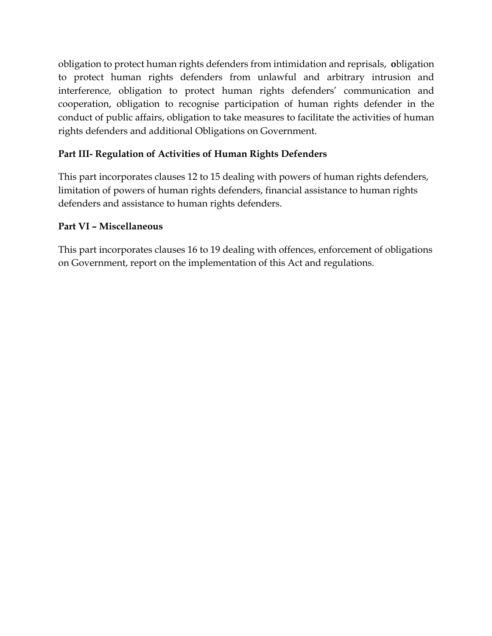obligation to protect human rights defenders from intimidation and reprisals, **o**bligation to protect human rights defenders from unlawful and arbitrary intrusion and interference, obligation to protect human rights defenders' communication and cooperation, obligation to recognise participation of human rights defender in the conduct of public affairs, obligation to take measures to facilitate the activities of human rights defenders and additional Obligations on Government.

# **Part III- Regulation of Activities of Human Rights Defenders**

This part incorporates clauses 12 to 15 dealing with powers of human rights defenders, limitation of powers of human rights defenders, financial assistance to human rights defenders and assistance to human rights defenders.

# **Part VI – Miscellaneous**

This part incorporates clauses 16 to 19 dealing with offences, enforcement of obligations on Government, report on the implementation of this Act and regulations.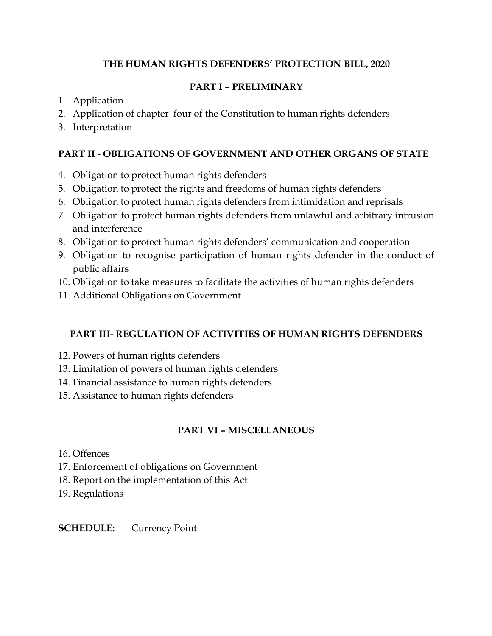# **THE HUMAN RIGHTS DEFENDERS' PROTECTION BILL, 2020**

## **PART I – PRELIMINARY**

- 1. Application
- 2. Application of chapter four of the Constitution to human rights defenders
- 3. Interpretation

# **PART II - OBLIGATIONS OF GOVERNMENT AND OTHER ORGANS OF STATE**

- 4. Obligation to protect human rights defenders
- 5. Obligation to protect the rights and freedoms of human rights defenders
- 6. Obligation to protect human rights defenders from intimidation and reprisals
- 7. Obligation to protect human rights defenders from unlawful and arbitrary intrusion and interference
- 8. Obligation to protect human rights defenders' communication and cooperation
- 9. Obligation to recognise participation of human rights defender in the conduct of public affairs
- 10. Obligation to take measures to facilitate the activities of human rights defenders
- 11. Additional Obligations on Government

# **PART III- REGULATION OF ACTIVITIES OF HUMAN RIGHTS DEFENDERS**

- 12. Powers of human rights defenders
- 13. Limitation of powers of human rights defenders
- 14. Financial assistance to human rights defenders
- 15. Assistance to human rights defenders

# **PART VI – MISCELLANEOUS**

- 16. Offences
- 17. Enforcement of obligations on Government
- 18. Report on the implementation of this Act
- 19. Regulations

## **SCHEDULE:** Currency Point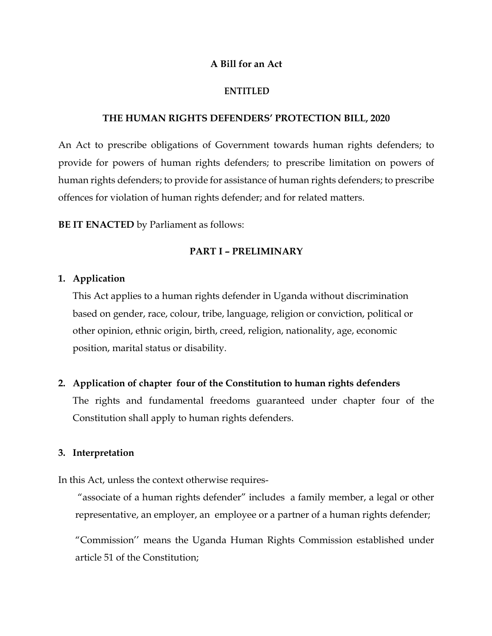#### **A Bill for an Act**

#### **ENTITLED**

#### **THE HUMAN RIGHTS DEFENDERS' PROTECTION BILL, 2020**

An Act to prescribe obligations of Government towards human rights defenders; to provide for powers of human rights defenders; to prescribe limitation on powers of human rights defenders; to provide for assistance of human rights defenders; to prescribe offences for violation of human rights defender; and for related matters.

**BE IT ENACTED** by Parliament as follows:

#### **PART I – PRELIMINARY**

#### **1. Application**

This Act applies to a human rights defender in Uganda without discrimination based on gender, race, colour, tribe, language, religion or conviction, political or other opinion, ethnic origin, birth, creed, religion, nationality, age, economic position, marital status or disability.

#### **2. Application of chapter four of the Constitution to human rights defenders**

The rights and fundamental freedoms guaranteed under chapter four of the Constitution shall apply to human rights defenders.

#### **3. Interpretation**

In this Act, unless the context otherwise requires-

"associate of a human rights defender" includes a family member, a legal or other representative, an employer, an employee or a partner of a human rights defender;

"Commission'' means the Uganda Human Rights Commission established under article 51 of the Constitution;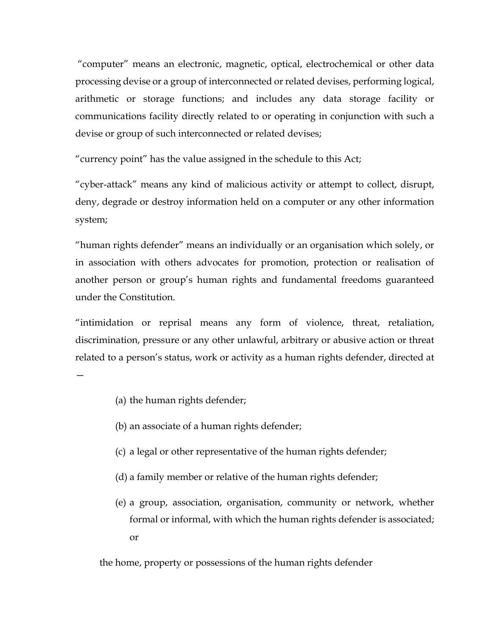"computer" means an electronic, magnetic, optical, electrochemical or other data processing devise or a group of interconnected or related devises, performing logical, arithmetic or storage functions; and includes any data storage facility or communications facility directly related to or operating in conjunction with such a devise or group of such interconnected or related devises;

"currency point" has the value assigned in the schedule to this Act;

"cyber-attack" means any kind of malicious activity or attempt to collect, disrupt, deny, degrade or destroy information held on a computer or any other information system;

"human rights defender" means an individually or an organisation which solely, or in association with others advocates for promotion, protection or realisation of another person or group's human rights and fundamental freedoms guaranteed under the Constitution.

"intimidation or reprisal means any form of violence, threat, retaliation, discrimination, pressure or any other unlawful, arbitrary or abusive action or threat related to a person's status, work or activity as a human rights defender, directed at

- —
- (a) the human rights defender;
- (b) an associate of a human rights defender;
- (c) a legal or other representative of the human rights defender;
- (d) a family member or relative of the human rights defender;
- (e) a group, association, organisation, community or network, whether formal or informal, with which the human rights defender is associated; or

the home, property or possessions of the human rights defender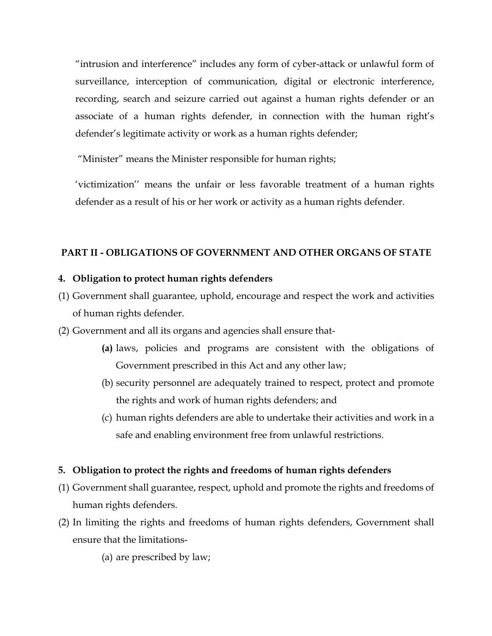"intrusion and interference" includes any form of cyber-attack or unlawful form of surveillance, interception of communication, digital or electronic interference, recording, search and seizure carried out against a human rights defender or an associate of a human rights defender, in connection with the human right's defender's legitimate activity or work as a human rights defender;

"Minister" means the Minister responsible for human rights;

'victimization'' means the unfair or less favorable treatment of a human rights defender as a result of his or her work or activity as a human rights defender.

## **PART II - OBLIGATIONS OF GOVERNMENT AND OTHER ORGANS OF STATE**

## **4. Obligation to protect human rights defenders**

- (1) Government shall guarantee, uphold, encourage and respect the work and activities of human rights defender.
- (2) Government and all its organs and agencies shall ensure that-
	- **(a)** laws, policies and programs are consistent with the obligations of Government prescribed in this Act and any other law;
	- (b) security personnel are adequately trained to respect, protect and promote the rights and work of human rights defenders; and
	- (c) human rights defenders are able to undertake their activities and work in a safe and enabling environment free from unlawful restrictions.

## **5. Obligation to protect the rights and freedoms of human rights defenders**

- (1) Government shall guarantee, respect, uphold and promote the rights and freedoms of human rights defenders.
- (2) In limiting the rights and freedoms of human rights defenders, Government shall ensure that the limitations-

(a) are prescribed by law;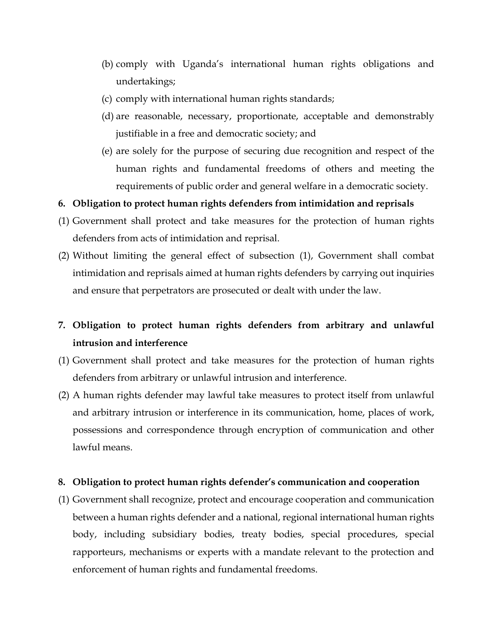- (b) comply with Uganda's international human rights obligations and undertakings;
- (c) comply with international human rights standards;
- (d) are reasonable, necessary, proportionate, acceptable and demonstrably justifiable in a free and democratic society; and
- (e) are solely for the purpose of securing due recognition and respect of the human rights and fundamental freedoms of others and meeting the requirements of public order and general welfare in a democratic society.
- **6. Obligation to protect human rights defenders from intimidation and reprisals**
- (1) Government shall protect and take measures for the protection of human rights defenders from acts of intimidation and reprisal.
- (2) Without limiting the general effect of subsection (1), Government shall combat intimidation and reprisals aimed at human rights defenders by carrying out inquiries and ensure that perpetrators are prosecuted or dealt with under the law.
- **7. Obligation to protect human rights defenders from arbitrary and unlawful intrusion and interference**
- (1) Government shall protect and take measures for the protection of human rights defenders from arbitrary or unlawful intrusion and interference.
- (2) A human rights defender may lawful take measures to protect itself from unlawful and arbitrary intrusion or interference in its communication, home, places of work, possessions and correspondence through encryption of communication and other lawful means.

#### **8. Obligation to protect human rights defender's communication and cooperation**

(1) Government shall recognize, protect and encourage cooperation and communication between a human rights defender and a national, regional international human rights body, including subsidiary bodies, treaty bodies, special procedures, special rapporteurs, mechanisms or experts with a mandate relevant to the protection and enforcement of human rights and fundamental freedoms.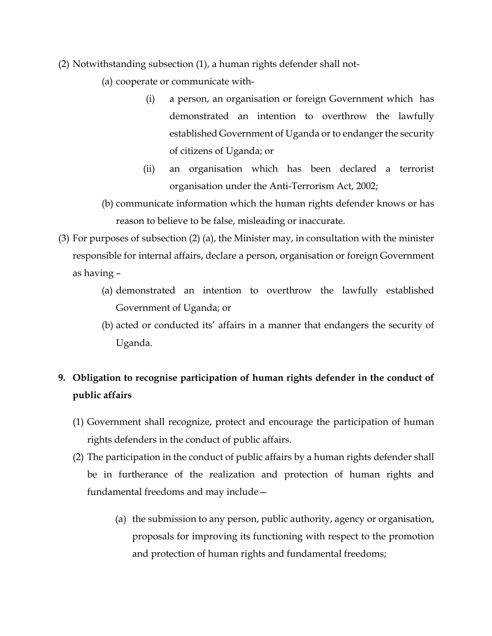- (2) Notwithstanding subsection (1), a human rights defender shall not-
	- (a) cooperate or communicate with-
		- (i) a person, an organisation or foreign Government which has demonstrated an intention to overthrow the lawfully established Government of Uganda or to endanger the security of citizens of Uganda; or
		- (ii) an organisation which has been declared a terrorist organisation under the Anti-Terrorism Act, 2002;
	- (b) communicate information which the human rights defender knows or has reason to believe to be false, misleading or inaccurate.
- (3) For purposes of subsection (2) (a), the Minister may, in consultation with the minister responsible for internal affairs, declare a person, organisation or foreign Government as having –
	- (a) demonstrated an intention to overthrow the lawfully established Government of Uganda; or
	- (b) acted or conducted its' affairs in a manner that endangers the security of Uganda.

# **9. Obligation to recognise participation of human rights defender in the conduct of public affairs**

- (1) Government shall recognize, protect and encourage the participation of human rights defenders in the conduct of public affairs.
- (2) The participation in the conduct of public affairs by a human rights defender shall be in furtherance of the realization and protection of human rights and fundamental freedoms and may include—
	- (a) the submission to any person, public authority, agency or organisation, proposals for improving its functioning with respect to the promotion and protection of human rights and fundamental freedoms;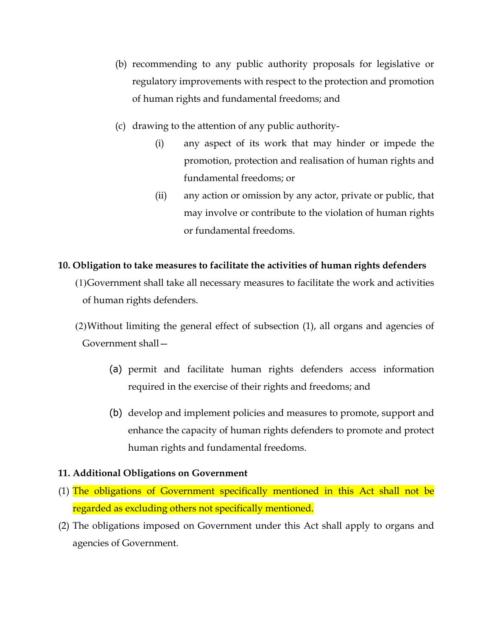- (b) recommending to any public authority proposals for legislative or regulatory improvements with respect to the protection and promotion of human rights and fundamental freedoms; and
- (c) drawing to the attention of any public authority-
	- (i) any aspect of its work that may hinder or impede the promotion, protection and realisation of human rights and fundamental freedoms; or
	- (ii) any action or omission by any actor, private or public, that may involve or contribute to the violation of human rights or fundamental freedoms.

### **10. Obligation to take measures to facilitate the activities of human rights defenders**

- (1)Government shall take all necessary measures to facilitate the work and activities of human rights defenders.
- (2)Without limiting the general effect of subsection (1), all organs and agencies of Government shall—
	- (a) permit and facilitate human rights defenders access information required in the exercise of their rights and freedoms; and
	- (b) develop and implement policies and measures to promote, support and enhance the capacity of human rights defenders to promote and protect human rights and fundamental freedoms.

## **11. Additional Obligations on Government**

- (1) The obligations of Government specifically mentioned in this Act shall not be regarded as excluding others not specifically mentioned.
- (2) The obligations imposed on Government under this Act shall apply to organs and agencies of Government.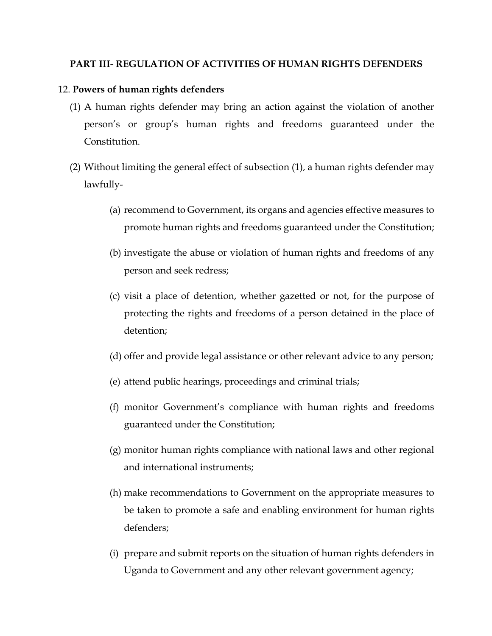## **PART III- REGULATION OF ACTIVITIES OF HUMAN RIGHTS DEFENDERS**

#### 12. **Powers of human rights defenders**

- (1) A human rights defender may bring an action against the violation of another person's or group's human rights and freedoms guaranteed under the Constitution.
- (2) Without limiting the general effect of subsection (1), a human rights defender may lawfully-
	- (a) recommend to Government, its organs and agencies effective measures to promote human rights and freedoms guaranteed under the Constitution;
	- (b) investigate the abuse or violation of human rights and freedoms of any person and seek redress;
	- (c) visit a place of detention, whether gazetted or not, for the purpose of protecting the rights and freedoms of a person detained in the place of detention;
	- (d) offer and provide legal assistance or other relevant advice to any person;
	- (e) attend public hearings, proceedings and criminal trials;
	- (f) monitor Government's compliance with human rights and freedoms guaranteed under the Constitution;
	- (g) monitor human rights compliance with national laws and other regional and international instruments;
	- (h) make recommendations to Government on the appropriate measures to be taken to promote a safe and enabling environment for human rights defenders;
	- (i) prepare and submit reports on the situation of human rights defenders in Uganda to Government and any other relevant government agency;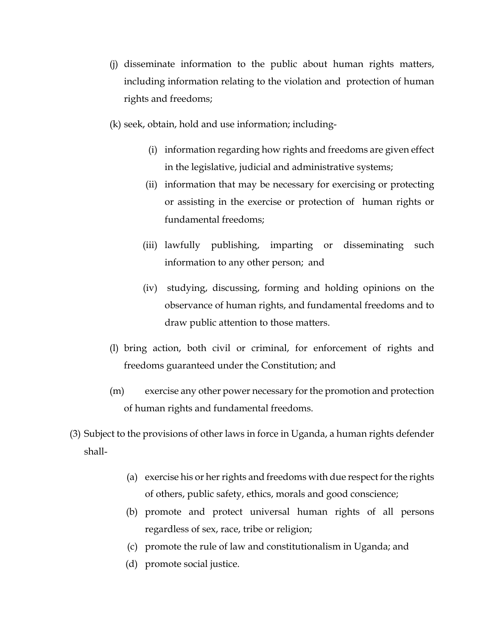- (j) disseminate information to the public about human rights matters, including information relating to the violation and protection of human rights and freedoms;
- (k) seek, obtain, hold and use information; including-
	- (i) information regarding how rights and freedoms are given effect in the legislative, judicial and administrative systems;
	- (ii) information that may be necessary for exercising or protecting or assisting in the exercise or protection of human rights or fundamental freedoms;
	- (iii) lawfully publishing, imparting or disseminating such information to any other person; and
	- (iv) studying, discussing, forming and holding opinions on the observance of human rights, and fundamental freedoms and to draw public attention to those matters.
- (l) bring action, both civil or criminal, for enforcement of rights and freedoms guaranteed under the Constitution; and
- (m) exercise any other power necessary for the promotion and protection of human rights and fundamental freedoms.
- (3) Subject to the provisions of other laws in force in Uganda, a human rights defender shall-
	- (a) exercise his or her rights and freedoms with due respect for the rights of others, public safety, ethics, morals and good conscience;
	- (b) promote and protect universal human rights of all persons regardless of sex, race, tribe or religion;
	- (c) promote the rule of law and constitutionalism in Uganda; and
	- (d) promote social justice.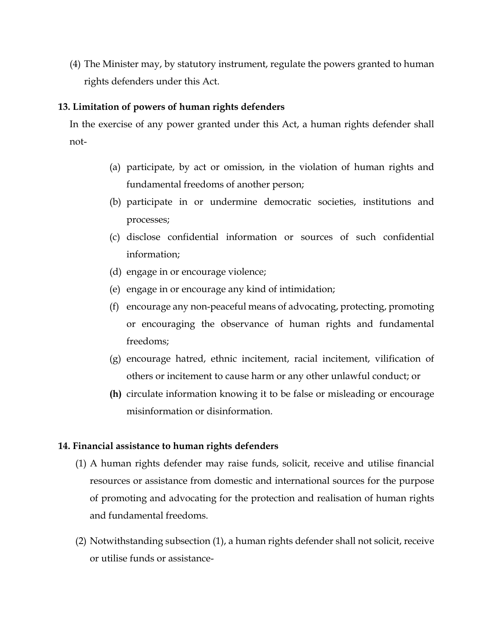(4) The Minister may, by statutory instrument, regulate the powers granted to human rights defenders under this Act.

### **13. Limitation of powers of human rights defenders**

In the exercise of any power granted under this Act, a human rights defender shall not-

- (a) participate, by act or omission, in the violation of human rights and fundamental freedoms of another person;
- (b) participate in or undermine democratic societies, institutions and processes;
- (c) disclose confidential information or sources of such confidential information;
- (d) engage in or encourage violence;
- (e) engage in or encourage any kind of intimidation;
- (f) encourage any non-peaceful means of advocating, protecting, promoting or encouraging the observance of human rights and fundamental freedoms;
- (g) encourage hatred, ethnic incitement, racial incitement, vilification of others or incitement to cause harm or any other unlawful conduct; or
- **(h)** circulate information knowing it to be false or misleading or encourage misinformation or disinformation.

## **14. Financial assistance to human rights defenders**

- (1) A human rights defender may raise funds, solicit, receive and utilise financial resources or assistance from domestic and international sources for the purpose of promoting and advocating for the protection and realisation of human rights and fundamental freedoms.
- (2) Notwithstanding subsection (1), a human rights defender shall not solicit, receive or utilise funds or assistance-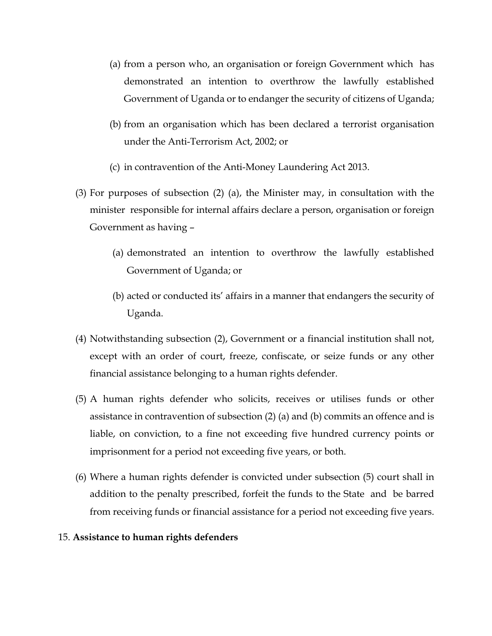- (a) from a person who, an organisation or foreign Government which has demonstrated an intention to overthrow the lawfully established Government of Uganda or to endanger the security of citizens of Uganda;
- (b) from an organisation which has been declared a terrorist organisation under the Anti-Terrorism Act, 2002; or
- (c) in contravention of the Anti-Money Laundering Act 2013.
- (3) For purposes of subsection (2) (a), the Minister may, in consultation with the minister responsible for internal affairs declare a person, organisation or foreign Government as having –
	- (a) demonstrated an intention to overthrow the lawfully established Government of Uganda; or
	- (b) acted or conducted its' affairs in a manner that endangers the security of Uganda.
- (4) Notwithstanding subsection (2), Government or a financial institution shall not, except with an order of court, freeze, confiscate, or seize funds or any other financial assistance belonging to a human rights defender.
- (5) A human rights defender who solicits, receives or utilises funds or other assistance in contravention of subsection (2) (a) and (b) commits an offence and is liable, on conviction, to a fine not exceeding five hundred currency points or imprisonment for a period not exceeding five years, or both.
- (6) Where a human rights defender is convicted under subsection (5) court shall in addition to the penalty prescribed, forfeit the funds to the State and be barred from receiving funds or financial assistance for a period not exceeding five years.

#### 15. **Assistance to human rights defenders**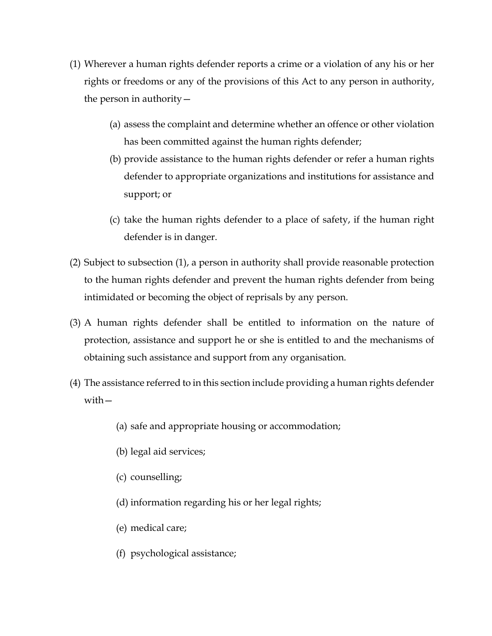- (1) Wherever a human rights defender reports a crime or a violation of any his or her rights or freedoms or any of the provisions of this Act to any person in authority, the person in authority—
	- (a) assess the complaint and determine whether an offence or other violation has been committed against the human rights defender;
	- (b) provide assistance to the human rights defender or refer a human rights defender to appropriate organizations and institutions for assistance and support; or
	- (c) take the human rights defender to a place of safety, if the human right defender is in danger.
- (2) Subject to subsection (1), a person in authority shall provide reasonable protection to the human rights defender and prevent the human rights defender from being intimidated or becoming the object of reprisals by any person.
- (3) A human rights defender shall be entitled to information on the nature of protection, assistance and support he or she is entitled to and the mechanisms of obtaining such assistance and support from any organisation.
- (4) The assistance referred to in this section include providing a human rights defender with—
	- (a) safe and appropriate housing or accommodation;
	- (b) legal aid services;
	- (c) counselling;
	- (d) information regarding his or her legal rights;
	- (e) medical care;
	- (f) psychological assistance;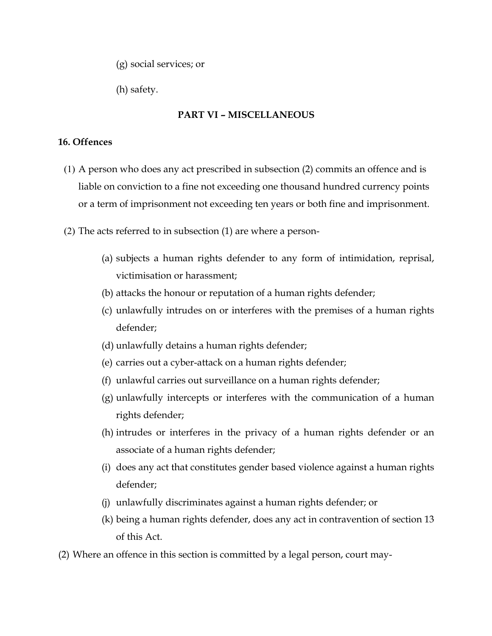(g) social services; or

(h) safety.

## **PART VI – MISCELLANEOUS**

## **16. Offences**

- (1) A person who does any act prescribed in subsection (2) commits an offence and is liable on conviction to a fine not exceeding one thousand hundred currency points or a term of imprisonment not exceeding ten years or both fine and imprisonment.
- (2) The acts referred to in subsection (1) are where a person-
	- (a) subjects a human rights defender to any form of intimidation, reprisal, victimisation or harassment;
	- (b) attacks the honour or reputation of a human rights defender;
	- (c) unlawfully intrudes on or interferes with the premises of a human rights defender;
	- (d) unlawfully detains a human rights defender;
	- (e) carries out a cyber-attack on a human rights defender;
	- (f) unlawful carries out surveillance on a human rights defender;
	- (g) unlawfully intercepts or interferes with the communication of a human rights defender;
	- (h) intrudes or interferes in the privacy of a human rights defender or an associate of a human rights defender;
	- (i) does any act that constitutes gender based violence against a human rights defender;
	- (j) unlawfully discriminates against a human rights defender; or
	- (k) being a human rights defender, does any act in contravention of section 13 of this Act.
- (2) Where an offence in this section is committed by a legal person, court may-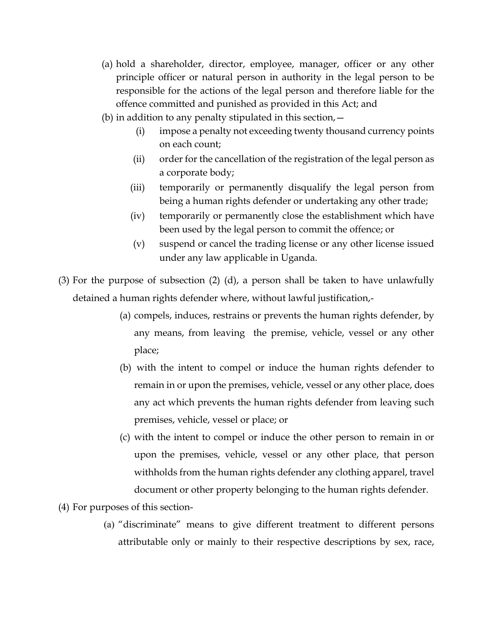- (a) hold a shareholder, director, employee, manager, officer or any other principle officer or natural person in authority in the legal person to be responsible for the actions of the legal person and therefore liable for the offence committed and punished as provided in this Act; and
- (b) in addition to any penalty stipulated in this section,  $-$ 
	- (i) impose a penalty not exceeding twenty thousand currency points on each count;
	- (ii) order for the cancellation of the registration of the legal person as a corporate body;
	- (iii) temporarily or permanently disqualify the legal person from being a human rights defender or undertaking any other trade;
	- (iv) temporarily or permanently close the establishment which have been used by the legal person to commit the offence; or
	- (v) suspend or cancel the trading license or any other license issued under any law applicable in Uganda.
- (3) For the purpose of subsection (2) (d), a person shall be taken to have unlawfully detained a human rights defender where, without lawful justification,-
	- (a) compels, induces, restrains or prevents the human rights defender, by any means, from leaving the premise, vehicle, vessel or any other place;
	- (b) with the intent to compel or induce the human rights defender to remain in or upon the premises, vehicle, vessel or any other place, does any act which prevents the human rights defender from leaving such premises, vehicle, vessel or place; or
	- (c) with the intent to compel or induce the other person to remain in or upon the premises, vehicle, vessel or any other place, that person withholds from the human rights defender any clothing apparel, travel document or other property belonging to the human rights defender.
- (4) For purposes of this section-
	- (a) "discriminate" means to give different treatment to different persons attributable only or mainly to their respective descriptions by sex, race,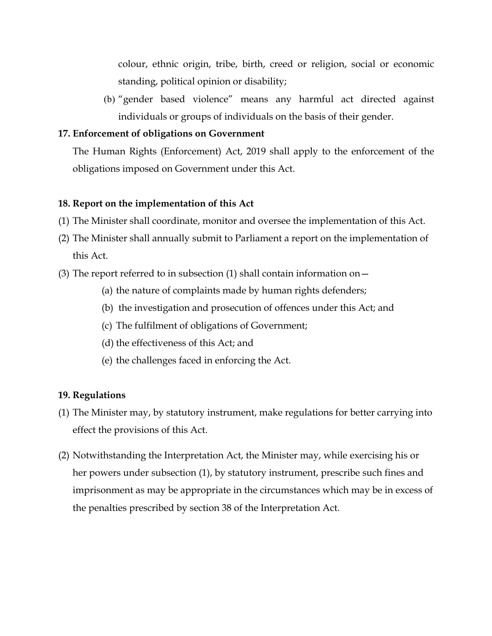colour, ethnic origin, tribe, birth, creed or religion, social or economic standing, political opinion or disability;

(b) "gender based violence" means any harmful act directed against individuals or groups of individuals on the basis of their gender.

#### **17. Enforcement of obligations on Government**

The Human Rights (Enforcement) Act, 2019 shall apply to the enforcement of the obligations imposed on Government under this Act.

### **18. Report on the implementation of this Act**

- (1) The Minister shall coordinate, monitor and oversee the implementation of this Act.
- (2) The Minister shall annually submit to Parliament a report on the implementation of this Act.
- (3) The report referred to in subsection (1) shall contain information on  $-$ 
	- (a) the nature of complaints made by human rights defenders;
	- (b) the investigation and prosecution of offences under this Act; and
	- (c) The fulfilment of obligations of Government;
	- (d) the effectiveness of this Act; and
	- (e) the challenges faced in enforcing the Act.

#### **19. Regulations**

- (1) The Minister may, by statutory instrument, make regulations for better carrying into effect the provisions of this Act.
- (2) Notwithstanding the Interpretation Act, the Minister may, while exercising his or her powers under subsection (1), by statutory instrument, prescribe such fines and imprisonment as may be appropriate in the circumstances which may be in excess of the penalties prescribed by section 38 of the Interpretation Act.